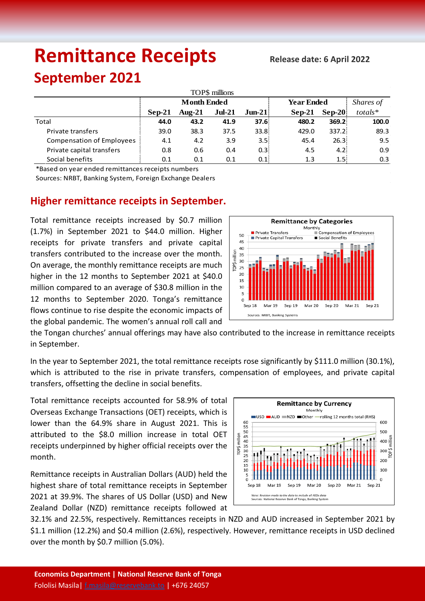# **Remittance Receipts** Release date: 6 April 2022

## **September 2021**

| TOP\$ millions                   |                    |           |          |                  |                   |                   |           |  |  |  |  |  |
|----------------------------------|--------------------|-----------|----------|------------------|-------------------|-------------------|-----------|--|--|--|--|--|
|                                  | <b>Month Ended</b> |           |          |                  | <b>Year Ended</b> |                   | Shares of |  |  |  |  |  |
|                                  | Sep-21             | Aug- $21$ | $Jul-21$ | $Jun-21$         | $Sep-21$          | $\textbf{Sep-}20$ | $totals*$ |  |  |  |  |  |
| Total                            | 44.0               | 43.2      | 41.9     | 37.6             | 480.2             | 369.2             | 100.0     |  |  |  |  |  |
| Private transfers                | 39.0               | 38.3      | 37.5     | 33.8             | 429.0             | 337.2             | 89.3      |  |  |  |  |  |
| <b>Compensation of Employees</b> | 4.1                | 4.2       | 3.9      | 3.5 <sub>1</sub> | 45.4              | 26.3              | 9.5       |  |  |  |  |  |
| Private capital transfers        | 0.8                | 0.6       | 0.4      | 0.31             | 4.5               | 4.2               | 0.9       |  |  |  |  |  |
| Social benefits                  | 0.1                | 0.1       | 0.1      | 0.11             | 1.3               | 1.5%              | 0.3       |  |  |  |  |  |

\*Based on year ended remittances receipts numbers

Sources: NRBT, Banking System, Foreign Exchange Dealers

### **Higher remittance receipts in September.**

Total remittance receipts increased by \$0.7 million (1.7%) in September 2021 to \$44.0 million. Higher receipts for private transfers and private capital transfers contributed to the increase over the month. On average, the monthly remittance receipts are much higher in the 12 months to September 2021 at \$40.0 million compared to an average of \$30.8 million in the 12 months to September 2020. Tonga's remittance flows continue to rise despite the economic impacts of the global pandemic. The women's annual roll call and



the Tongan churches' annual offerings may have also contributed to the increase in remittance receipts in September.

In the year to September 2021, the total remittance receipts rose significantly by \$111.0 million (30.1%), which is attributed to the rise in private transfers, compensation of employees, and private capital transfers, offsetting the decline in social benefits.

Total remittance receipts accounted for 58.9% of total Overseas Exchange Transactions (OET) receipts, which is lower than the 64.9% share in August 2021. This is attributed to the \$8.0 million increase in total OET receipts underpinned by higher official receipts over the month.

Remittance receipts in Australian Dollars (AUD) held the highest share of total remittance receipts in September 2021 at 39.9%. The shares of US Dollar (USD) and New Zealand Dollar (NZD) remittance receipts followed at



32.1% and 22.5%, respectively. Remittances receipts in NZD and AUD increased in September 2021 by \$1.1 million (12.2%) and \$0.4 million (2.6%), respectively. However, remittance receipts in USD declined over the month by \$0.7 million (5.0%).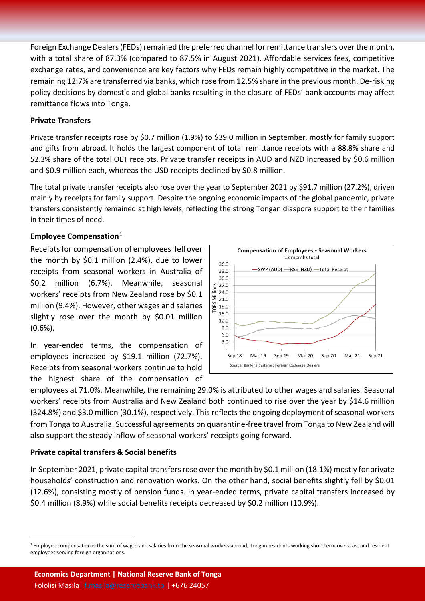Foreign Exchange Dealers (FEDs) remained the preferred channel for remittance transfers over the month, with a total share of 87.3% (compared to 87.5% in August 2021). Affordable services fees, competitive exchange rates, and convenience are key factors why FEDs remain highly competitive in the market. The remaining 12.7% are transferred via banks, which rose from 12.5% share in the previous month. De-risking policy decisions by domestic and global banks resulting in the closure of FEDs' bank accounts may affect remittance flows into Tonga.

#### **Private Transfers**

Private transfer receipts rose by \$0.7 million (1.9%) to \$39.0 million in September, mostly for family support and gifts from abroad. It holds the largest component of total remittance receipts with a 88.8% share and 52.3% share of the total OET receipts. Private transfer receipts in AUD and NZD increased by \$0.6 million and \$0.9 million each, whereas the USD receipts declined by \$0.8 million.

The total private transfer receipts also rose over the year to September 2021 by \$91.7 million (27.2%), driven mainly by receipts for family support. Despite the ongoing economic impacts of the global pandemic, private transfers consistently remained at high levels, reflecting the strong Tongan diaspora support to their families in their times of need.

#### **Employee Compensation[1](#page-1-0)**

Receipts for compensation of employees fell over the month by \$0.1 million (2.4%), due to lower receipts from seasonal workers in Australia of \$0.2 million (6.7%). Meanwhile, seasonal workers' receipts from New Zealand rose by \$0.1 million (9.4%). However, other wages and salaries slightly rose over the month by \$0.01 million (0.6%).

In year-ended terms, the compensation of employees increased by \$19.1 million (72.7%). Receipts from seasonal workers continue to hold the highest share of the compensation of



employees at 71.0%. Meanwhile, the remaining 29.0% is attributed to other wages and salaries. Seasonal workers' receipts from Australia and New Zealand both continued to rise over the year by \$14.6 million (324.8%) and \$3.0 million (30.1%), respectively. This reflects the ongoing deployment of seasonal workers from Tonga to Australia. Successful agreements on quarantine-free travel from Tonga to New Zealand will also support the steady inflow of seasonal workers' receipts going forward.

#### **Private capital transfers & Social benefits**

In September 2021, private capital transfers rose over the month by \$0.1 million (18.1%) mostly for private households' construction and renovation works. On the other hand, social benefits slightly fell by \$0.01 (12.6%), consisting mostly of pension funds. In year-ended terms, private capital transfers increased by \$0.4 million (8.9%) while social benefits receipts decreased by \$0.2 million (10.9%).

<span id="page-1-0"></span><sup>&</sup>lt;sup>1</sup> Employee compensation is the sum of wages and salaries from the seasonal workers abroad, Tongan residents working short term overseas, and resident employees serving foreign organizations.